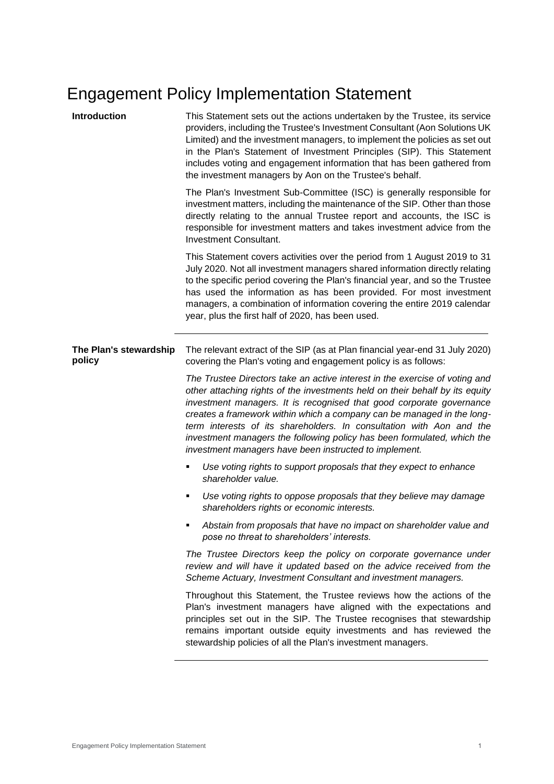# Engagement Policy Implementation Statement

| Introduction                     | This Statement sets out the actions undertaken by the Trustee, its service<br>providers, including the Trustee's Investment Consultant (Aon Solutions UK<br>Limited) and the investment managers, to implement the policies as set out<br>in the Plan's Statement of Investment Principles (SIP). This Statement<br>includes voting and engagement information that has been gathered from<br>the investment managers by Aon on the Trustee's behalf.                                                                      |
|----------------------------------|----------------------------------------------------------------------------------------------------------------------------------------------------------------------------------------------------------------------------------------------------------------------------------------------------------------------------------------------------------------------------------------------------------------------------------------------------------------------------------------------------------------------------|
|                                  | The Plan's Investment Sub-Committee (ISC) is generally responsible for<br>investment matters, including the maintenance of the SIP. Other than those<br>directly relating to the annual Trustee report and accounts, the ISC is<br>responsible for investment matters and takes investment advice from the<br>Investment Consultant.                                                                                                                                                                                       |
|                                  | This Statement covers activities over the period from 1 August 2019 to 31<br>July 2020. Not all investment managers shared information directly relating<br>to the specific period covering the Plan's financial year, and so the Trustee<br>has used the information as has been provided. For most investment<br>managers, a combination of information covering the entire 2019 calendar<br>year, plus the first half of 2020, has been used.                                                                           |
| The Plan's stewardship<br>policy | The relevant extract of the SIP (as at Plan financial year-end 31 July 2020)<br>covering the Plan's voting and engagement policy is as follows:                                                                                                                                                                                                                                                                                                                                                                            |
|                                  | The Trustee Directors take an active interest in the exercise of voting and<br>other attaching rights of the investments held on their behalf by its equity<br>investment managers. It is recognised that good corporate governance<br>creates a framework within which a company can be managed in the long-<br>term interests of its shareholders. In consultation with Aon and the<br>investment managers the following policy has been formulated, which the<br>investment managers have been instructed to implement. |
|                                  | Use voting rights to support proposals that they expect to enhance<br>shareholder value.                                                                                                                                                                                                                                                                                                                                                                                                                                   |
|                                  | Use voting rights to oppose proposals that they believe may damage<br>٠<br>shareholders rights or economic interests.                                                                                                                                                                                                                                                                                                                                                                                                      |
|                                  | Abstain from proposals that have no impact on shareholder value and<br>pose no threat to shareholders' interests.                                                                                                                                                                                                                                                                                                                                                                                                          |
|                                  | The Trustee Directors keep the policy on corporate governance under<br>review and will have it updated based on the advice received from the<br>Scheme Actuary, Investment Consultant and investment managers.                                                                                                                                                                                                                                                                                                             |
|                                  | Throughout this Statement, the Trustee reviews how the actions of the<br>Plan's investment managers have aligned with the expectations and<br>principles set out in the SIP. The Trustee recognises that stewardship<br>remains important outside equity investments and has reviewed the<br>stewardship policies of all the Plan's investment managers.                                                                                                                                                                   |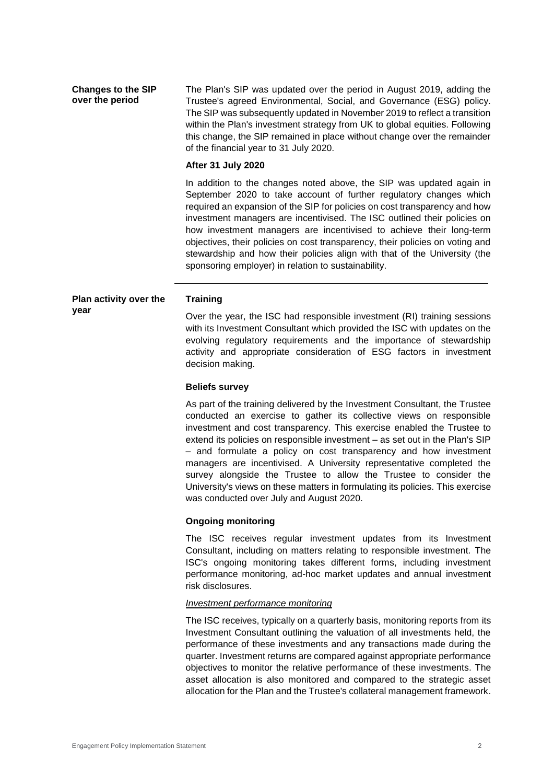**Changes to the SIP over the period** The Plan's SIP was updated over the period in August 2019, adding the Trustee's agreed Environmental, Social, and Governance (ESG) policy. The SIP was subsequently updated in November 2019 to reflect a transition within the Plan's investment strategy from UK to global equities. Following this change, the SIP remained in place without change over the remainder of the financial year to 31 July 2020.

#### **After 31 July 2020**

In addition to the changes noted above, the SIP was updated again in September 2020 to take account of further regulatory changes which required an expansion of the SIP for policies on cost transparency and how investment managers are incentivised. The ISC outlined their policies on how investment managers are incentivised to achieve their long-term objectives, their policies on cost transparency, their policies on voting and stewardship and how their policies align with that of the University (the sponsoring employer) in relation to sustainability.

#### **Plan activity over the year Training**

Over the year, the ISC had responsible investment (RI) training sessions with its Investment Consultant which provided the ISC with updates on the evolving regulatory requirements and the importance of stewardship activity and appropriate consideration of ESG factors in investment decision making.

#### **Beliefs survey**

As part of the training delivered by the Investment Consultant, the Trustee conducted an exercise to gather its collective views on responsible investment and cost transparency. This exercise enabled the Trustee to extend its policies on responsible investment – as set out in the Plan's SIP – and formulate a policy on cost transparency and how investment managers are incentivised. A University representative completed the survey alongside the Trustee to allow the Trustee to consider the University's views on these matters in formulating its policies. This exercise was conducted over July and August 2020.

## **Ongoing monitoring**

The ISC receives regular investment updates from its Investment Consultant, including on matters relating to responsible investment. The ISC's ongoing monitoring takes different forms, including investment performance monitoring, ad-hoc market updates and annual investment risk disclosures.

#### *Investment performance monitoring*

The ISC receives, typically on a quarterly basis, monitoring reports from its Investment Consultant outlining the valuation of all investments held, the performance of these investments and any transactions made during the quarter. Investment returns are compared against appropriate performance objectives to monitor the relative performance of these investments. The asset allocation is also monitored and compared to the strategic asset allocation for the Plan and the Trustee's collateral management framework.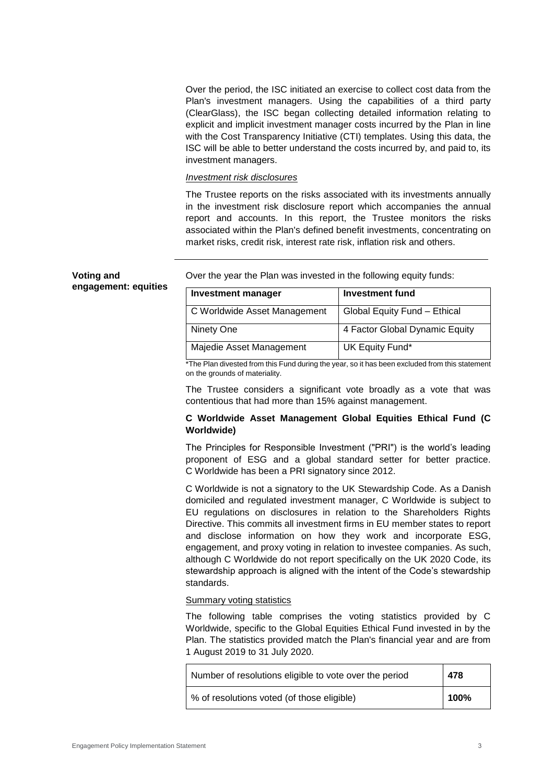Over the period, the ISC initiated an exercise to collect cost data from the Plan's investment managers. Using the capabilities of a third party (ClearGlass), the ISC began collecting detailed information relating to explicit and implicit investment manager costs incurred by the Plan in line with the Cost Transparency Initiative (CTI) templates. Using this data, the ISC will be able to better understand the costs incurred by, and paid to, its investment managers.

## *Investment risk disclosures*

The Trustee reports on the risks associated with its investments annually in the investment risk disclosure report which accompanies the annual report and accounts. In this report, the Trustee monitors the risks associated within the Plan's defined benefit investments, concentrating on market risks, credit risk, interest rate risk, inflation risk and others.

| <b>Voting and</b>    |  |
|----------------------|--|
| engagement: equities |  |

Over the year the Plan was invested in the following equity funds:

| <b>Investment manager</b>    | <b>Investment fund</b>         |
|------------------------------|--------------------------------|
| C Worldwide Asset Management | Global Equity Fund - Ethical   |
| Ninety One                   | 4 Factor Global Dynamic Equity |
| Majedie Asset Management     | UK Equity Fund*                |

\*The Plan divested from this Fund during the year, so it has been excluded from this statement on the grounds of materiality.

The Trustee considers a significant vote broadly as a vote that was contentious that had more than 15% against management.

## **C Worldwide Asset Management Global Equities Ethical Fund (C Worldwide)**

The Principles for Responsible Investment ("PRI") is the world's leading proponent of ESG and a global standard setter for better practice. C Worldwide has been a PRI signatory since 2012.

C Worldwide is not a signatory to the UK Stewardship Code. As a Danish domiciled and regulated investment manager, C Worldwide is subject to EU regulations on disclosures in relation to the Shareholders Rights Directive. This commits all investment firms in EU member states to report and disclose information on how they work and incorporate ESG, engagement, and proxy voting in relation to investee companies. As such, although C Worldwide do not report specifically on the UK 2020 Code, its stewardship approach is aligned with the intent of the Code's stewardship standards.

## Summary voting statistics

The following table comprises the voting statistics provided by C Worldwide, specific to the Global Equities Ethical Fund invested in by the Plan. The statistics provided match the Plan's financial year and are from 1 August 2019 to 31 July 2020.

| Number of resolutions eligible to vote over the period | 478  |
|--------------------------------------------------------|------|
| % of resolutions voted (of those eligible)             | 100% |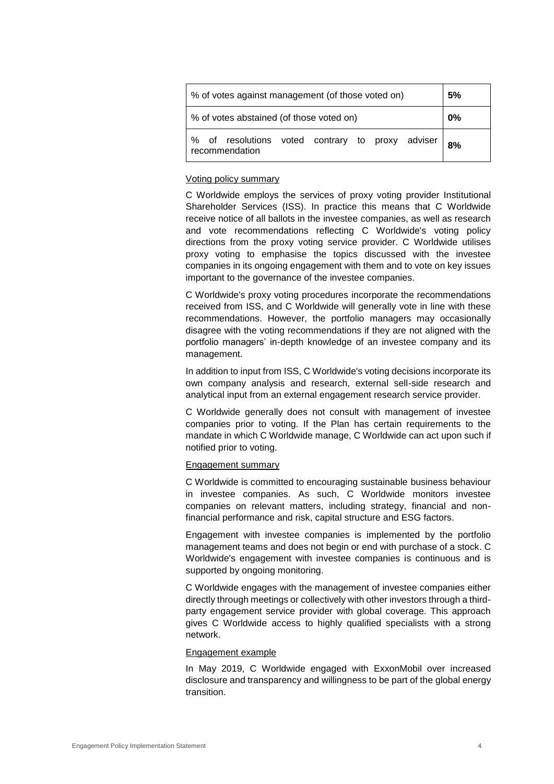| % of votes against management (of those voted on)                  | 5% |
|--------------------------------------------------------------------|----|
| % of votes abstained (of those voted on)                           | 0% |
| of resolutions voted contrary to proxy adviser  <br>recommendation | 8% |

## Voting policy summary

C Worldwide employs the services of proxy voting provider Institutional Shareholder Services (ISS). In practice this means that C Worldwide receive notice of all ballots in the investee companies, as well as research and vote recommendations reflecting C Worldwide's voting policy directions from the proxy voting service provider. C Worldwide utilises proxy voting to emphasise the topics discussed with the investee companies in its ongoing engagement with them and to vote on key issues important to the governance of the investee companies.

C Worldwide's proxy voting procedures incorporate the recommendations received from ISS, and C Worldwide will generally vote in line with these recommendations. However, the portfolio managers may occasionally disagree with the voting recommendations if they are not aligned with the portfolio managers' in-depth knowledge of an investee company and its management.

In addition to input from ISS, C Worldwide's voting decisions incorporate its own company analysis and research, external sell-side research and analytical input from an external engagement research service provider.

C Worldwide generally does not consult with management of investee companies prior to voting. If the Plan has certain requirements to the mandate in which C Worldwide manage, C Worldwide can act upon such if notified prior to voting.

## Engagement summary

C Worldwide is committed to encouraging sustainable business behaviour in investee companies. As such, C Worldwide monitors investee companies on relevant matters, including strategy, financial and nonfinancial performance and risk, capital structure and ESG factors.

Engagement with investee companies is implemented by the portfolio management teams and does not begin or end with purchase of a stock. C Worldwide's engagement with investee companies is continuous and is supported by ongoing monitoring.

C Worldwide engages with the management of investee companies either directly through meetings or collectively with other investors through a thirdparty engagement service provider with global coverage. This approach gives C Worldwide access to highly qualified specialists with a strong network.

## Engagement example

In May 2019, C Worldwide engaged with ExxonMobil over increased disclosure and transparency and willingness to be part of the global energy transition.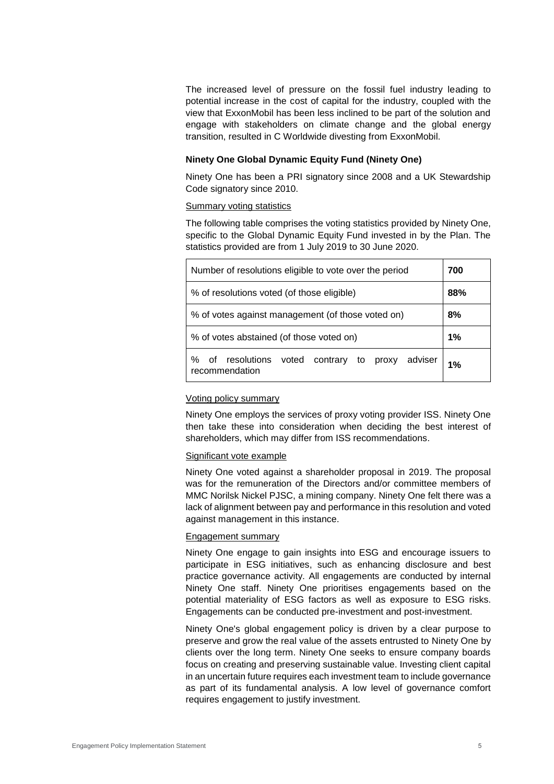The increased level of pressure on the fossil fuel industry leading to potential increase in the cost of capital for the industry, coupled with the view that ExxonMobil has been less inclined to be part of the solution and engage with stakeholders on climate change and the global energy transition, resulted in C Worldwide divesting from ExxonMobil.

## **Ninety One Global Dynamic Equity Fund (Ninety One)**

Ninety One has been a PRI signatory since 2008 and a UK Stewardship Code signatory since 2010.

#### Summary voting statistics

The following table comprises the voting statistics provided by Ninety One, specific to the Global Dynamic Equity Fund invested in by the Plan. The statistics provided are from 1 July 2019 to 30 June 2020.

| Number of resolutions eligible to vote over the period                      | 700 |
|-----------------------------------------------------------------------------|-----|
| % of resolutions voted (of those eligible)                                  | 88% |
| % of votes against management (of those voted on)                           | 8%  |
| % of votes abstained (of those voted on)                                    | 1%  |
| adviser<br>%<br>resolutions voted contrary to proxy<br>οf<br>recommendation | 1%  |

#### Voting policy summary

Ninety One employs the services of proxy voting provider ISS. Ninety One then take these into consideration when deciding the best interest of shareholders, which may differ from ISS recommendations.

## Significant vote example

Ninety One voted against a shareholder proposal in 2019. The proposal was for the remuneration of the Directors and/or committee members of MMC Norilsk Nickel PJSC, a mining company. Ninety One felt there was a lack of alignment between pay and performance in this resolution and voted against management in this instance.

## Engagement summary

Ninety One engage to gain insights into ESG and encourage issuers to participate in ESG initiatives, such as enhancing disclosure and best practice governance activity. All engagements are conducted by internal Ninety One staff. Ninety One prioritises engagements based on the potential materiality of ESG factors as well as exposure to ESG risks. Engagements can be conducted pre-investment and post-investment.

Ninety One's global engagement policy is driven by a clear purpose to preserve and grow the real value of the assets entrusted to Ninety One by clients over the long term. Ninety One seeks to ensure company boards focus on creating and preserving sustainable value. Investing client capital in an uncertain future requires each investment team to include governance as part of its fundamental analysis. A low level of governance comfort requires engagement to justify investment.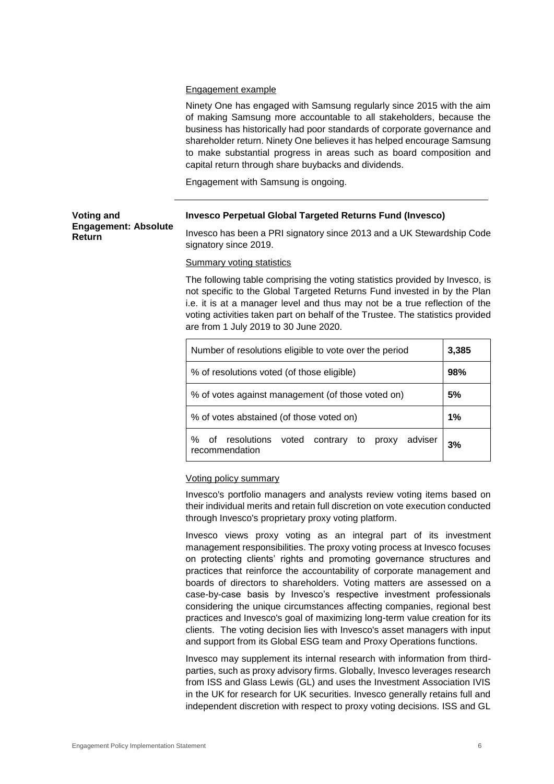## Engagement example

Ninety One has engaged with Samsung regularly since 2015 with the aim of making Samsung more accountable to all stakeholders, because the business has historically had poor standards of corporate governance and shareholder return. Ninety One believes it has helped encourage Samsung to make substantial progress in areas such as board composition and capital return through share buybacks and dividends.

Engagement with Samsung is ongoing.

| <b>Voting and</b>           |
|-----------------------------|
| <b>Engagement: Absolute</b> |
| Return                      |

## **Invesco Perpetual Global Targeted Returns Fund (Invesco)**

Invesco has been a PRI signatory since 2013 and a UK Stewardship Code signatory since 2019.

Summary voting statistics

The following table comprising the voting statistics provided by Invesco, is not specific to the Global Targeted Returns Fund invested in by the Plan i.e. it is at a manager level and thus may not be a true reflection of the voting activities taken part on behalf of the Trustee. The statistics provided are from 1 July 2019 to 30 June 2020.

| Number of resolutions eligible to vote over the period                         | 3,385 |
|--------------------------------------------------------------------------------|-------|
| % of resolutions voted (of those eligible)                                     | 98%   |
| % of votes against management (of those voted on)                              | 5%    |
| % of votes abstained (of those voted on)                                       | 1%    |
| adviser<br>resolutions<br>voted contrary to proxy<br>℅<br>οf<br>recommendation | 3%    |

## Voting policy summary

Invesco's portfolio managers and analysts review voting items based on their individual merits and retain full discretion on vote execution conducted through Invesco's proprietary proxy voting platform.

Invesco views proxy voting as an integral part of its investment management responsibilities. The proxy voting process at Invesco focuses on protecting clients' rights and promoting governance structures and practices that reinforce the accountability of corporate management and boards of directors to shareholders. Voting matters are assessed on a case-by-case basis by Invesco's respective investment professionals considering the unique circumstances affecting companies, regional best practices and Invesco's goal of maximizing long-term value creation for its clients. The voting decision lies with Invesco's asset managers with input and support from its Global ESG team and Proxy Operations functions.

Invesco may supplement its internal research with information from thirdparties, such as proxy advisory firms. Globally, Invesco leverages research from ISS and Glass Lewis (GL) and uses the Investment Association IVIS in the UK for research for UK securities. Invesco generally retains full and independent discretion with respect to proxy voting decisions. ISS and GL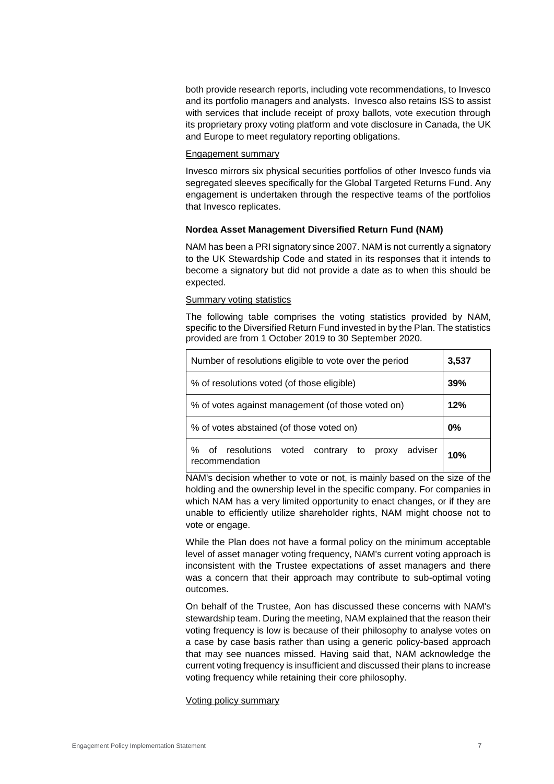both provide research reports, including vote recommendations, to Invesco and its portfolio managers and analysts. Invesco also retains ISS to assist with services that include receipt of proxy ballots, vote execution through its proprietary proxy voting platform and vote disclosure in Canada, the UK and Europe to meet regulatory reporting obligations.

## Engagement summary

Invesco mirrors six physical securities portfolios of other Invesco funds via segregated sleeves specifically for the Global Targeted Returns Fund. Any engagement is undertaken through the respective teams of the portfolios that Invesco replicates.

## **Nordea Asset Management Diversified Return Fund (NAM)**

NAM has been a PRI signatory since 2007. NAM is not currently a signatory to the UK Stewardship Code and stated in its responses that it intends to become a signatory but did not provide a date as to when this should be expected.

## Summary voting statistics

The following table comprises the voting statistics provided by NAM, specific to the Diversified Return Fund invested in by the Plan. The statistics provided are from 1 October 2019 to 30 September 2020.

| Number of resolutions eligible to vote over the period                               | 3,537 |
|--------------------------------------------------------------------------------------|-------|
| % of resolutions voted (of those eligible)                                           | 39%   |
| % of votes against management (of those voted on)                                    | 12%   |
| % of votes abstained (of those voted on)                                             | $0\%$ |
| adviser<br>resolutions<br>voted<br>℅<br>contrary<br>οf<br>to proxy<br>recommendation | 10%   |

NAM's decision whether to vote or not, is mainly based on the size of the holding and the ownership level in the specific company. For companies in which NAM has a very limited opportunity to enact changes, or if they are unable to efficiently utilize shareholder rights, NAM might choose not to vote or engage.

While the Plan does not have a formal policy on the minimum acceptable level of asset manager voting frequency, NAM's current voting approach is inconsistent with the Trustee expectations of asset managers and there was a concern that their approach may contribute to sub-optimal voting outcomes.

On behalf of the Trustee, Aon has discussed these concerns with NAM's stewardship team. During the meeting, NAM explained that the reason their voting frequency is low is because of their philosophy to analyse votes on a case by case basis rather than using a generic policy-based approach that may see nuances missed. Having said that, NAM acknowledge the current voting frequency is insufficient and discussed their plans to increase voting frequency while retaining their core philosophy.

## Voting policy summary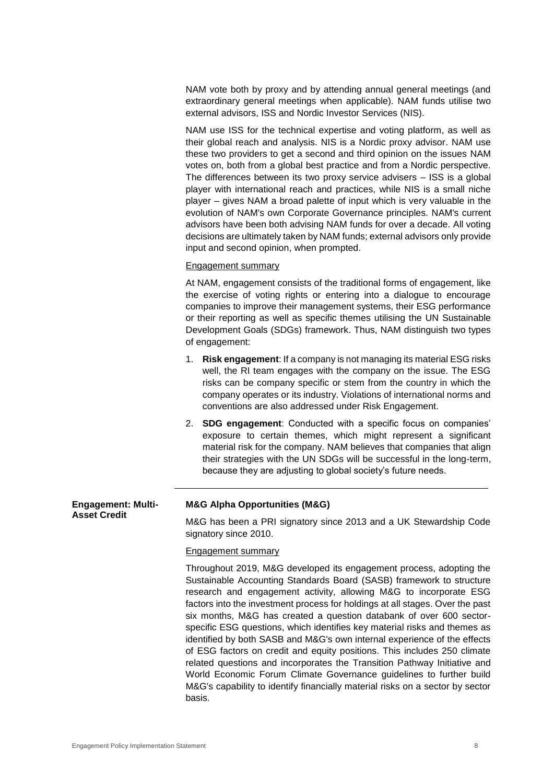NAM vote both by proxy and by attending annual general meetings (and extraordinary general meetings when applicable). NAM funds utilise two external advisors, ISS and Nordic Investor Services (NIS).

NAM use ISS for the technical expertise and voting platform, as well as their global reach and analysis. NIS is a Nordic proxy advisor. NAM use these two providers to get a second and third opinion on the issues NAM votes on, both from a global best practice and from a Nordic perspective. The differences between its two proxy service advisers – ISS is a global player with international reach and practices, while NIS is a small niche player – gives NAM a broad palette of input which is very valuable in the evolution of NAM's own Corporate Governance principles. NAM's current advisors have been both advising NAM funds for over a decade. All voting decisions are ultimately taken by NAM funds; external advisors only provide input and second opinion, when prompted.

## Engagement summary

At NAM, engagement consists of the traditional forms of engagement, like the exercise of voting rights or entering into a dialogue to encourage companies to improve their management systems, their ESG performance or their reporting as well as specific themes utilising the UN Sustainable Development Goals (SDGs) framework. Thus, NAM distinguish two types of engagement:

- 1. **Risk engagement**: If a company is not managing its material ESG risks well, the RI team engages with the company on the issue. The ESG risks can be company specific or stem from the country in which the company operates or its industry. Violations of international norms and conventions are also addressed under Risk Engagement.
- 2. **SDG engagement**: Conducted with a specific focus on companies' exposure to certain themes, which might represent a significant material risk for the company. NAM believes that companies that align their strategies with the UN SDGs will be successful in the long-term, because they are adjusting to global society's future needs.

**Engagement: Multi-Asset Credit**

## **M&G Alpha Opportunities (M&G)**

M&G has been a PRI signatory since 2013 and a UK Stewardship Code signatory since 2010.

#### Engagement summary

Throughout 2019, M&G developed its engagement process, adopting the Sustainable Accounting Standards Board (SASB) framework to structure research and engagement activity, allowing M&G to incorporate ESG factors into the investment process for holdings at all stages. Over the past six months, M&G has created a question databank of over 600 sectorspecific ESG questions, which identifies key material risks and themes as identified by both SASB and M&G's own internal experience of the effects of ESG factors on credit and equity positions. This includes 250 climate related questions and incorporates the Transition Pathway Initiative and World Economic Forum Climate Governance guidelines to further build M&G's capability to identify financially material risks on a sector by sector basis.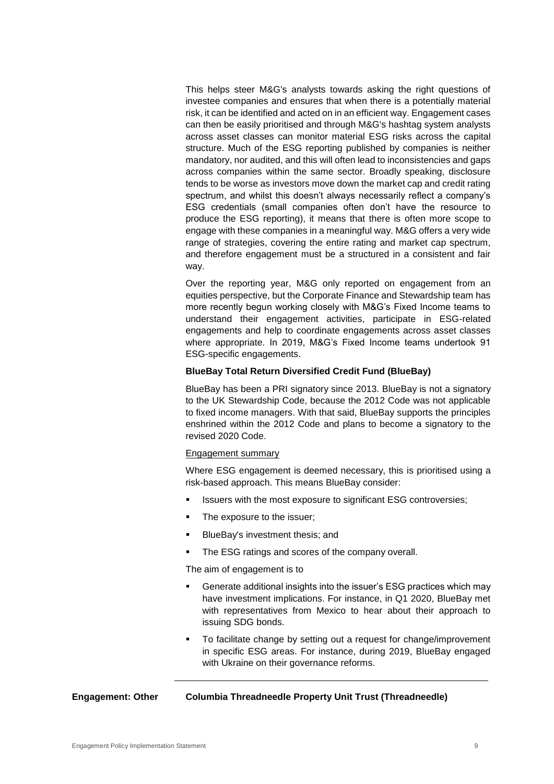This helps steer M&G's analysts towards asking the right questions of investee companies and ensures that when there is a potentially material risk, it can be identified and acted on in an efficient way. Engagement cases can then be easily prioritised and through M&G's hashtag system analysts across asset classes can monitor material ESG risks across the capital structure. Much of the ESG reporting published by companies is neither mandatory, nor audited, and this will often lead to inconsistencies and gaps across companies within the same sector. Broadly speaking, disclosure tends to be worse as investors move down the market cap and credit rating spectrum, and whilst this doesn't always necessarily reflect a company's ESG credentials (small companies often don't have the resource to produce the ESG reporting), it means that there is often more scope to engage with these companies in a meaningful way. M&G offers a very wide range of strategies, covering the entire rating and market cap spectrum, and therefore engagement must be a structured in a consistent and fair way.

Over the reporting year, M&G only reported on engagement from an equities perspective, but the Corporate Finance and Stewardship team has more recently begun working closely with M&G's Fixed Income teams to understand their engagement activities, participate in ESG-related engagements and help to coordinate engagements across asset classes where appropriate. In 2019, M&G's Fixed Income teams undertook 91 ESG-specific engagements.

## **BlueBay Total Return Diversified Credit Fund (BlueBay)**

BlueBay has been a PRI signatory since 2013. BlueBay is not a signatory to the UK Stewardship Code, because the 2012 Code was not applicable to fixed income managers. With that said, BlueBay supports the principles enshrined within the 2012 Code and plans to become a signatory to the revised 2020 Code.

#### Engagement summary

Where ESG engagement is deemed necessary, this is prioritised using a risk-based approach. This means BlueBay consider:

- Issuers with the most exposure to significant ESG controversies;
- The exposure to the issuer;
- BlueBay's investment thesis; and
- The ESG ratings and scores of the company overall.

The aim of engagement is to

- Generate additional insights into the issuer's ESG practices which may have investment implications. For instance, in Q1 2020, BlueBay met with representatives from Mexico to hear about their approach to issuing SDG bonds.
- To facilitate change by setting out a request for change/improvement in specific ESG areas. For instance, during 2019, BlueBay engaged with Ukraine on their governance reforms.

## **Engagement: Other Columbia Threadneedle Property Unit Trust (Threadneedle)**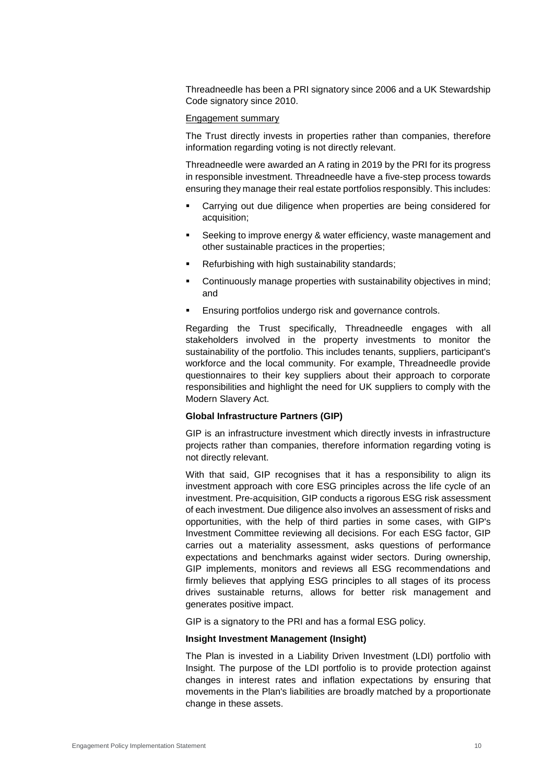Threadneedle has been a PRI signatory since 2006 and a UK Stewardship Code signatory since 2010.

## Engagement summary

The Trust directly invests in properties rather than companies, therefore information regarding voting is not directly relevant.

Threadneedle were awarded an A rating in 2019 by the PRI for its progress in responsible investment. Threadneedle have a five-step process towards ensuring they manage their real estate portfolios responsibly. This includes:

- Carrying out due diligence when properties are being considered for acquisition;
- Seeking to improve energy & water efficiency, waste management and other sustainable practices in the properties;
- Refurbishing with high sustainability standards;
- Continuously manage properties with sustainability objectives in mind; and
- **Ensuring portfolios undergo risk and governance controls.**

Regarding the Trust specifically, Threadneedle engages with all stakeholders involved in the property investments to monitor the sustainability of the portfolio. This includes tenants, suppliers, participant's workforce and the local community. For example, Threadneedle provide questionnaires to their key suppliers about their approach to corporate responsibilities and highlight the need for UK suppliers to comply with the Modern Slavery Act.

#### **Global Infrastructure Partners (GIP)**

GIP is an infrastructure investment which directly invests in infrastructure projects rather than companies, therefore information regarding voting is not directly relevant.

With that said, GIP recognises that it has a responsibility to align its investment approach with core ESG principles across the life cycle of an investment. Pre-acquisition, GIP conducts a rigorous ESG risk assessment of each investment. Due diligence also involves an assessment of risks and opportunities, with the help of third parties in some cases, with GIP's Investment Committee reviewing all decisions. For each ESG factor, GIP carries out a materiality assessment, asks questions of performance expectations and benchmarks against wider sectors. During ownership, GIP implements, monitors and reviews all ESG recommendations and firmly believes that applying ESG principles to all stages of its process drives sustainable returns, allows for better risk management and generates positive impact.

GIP is a signatory to the PRI and has a formal ESG policy.

## **Insight Investment Management (Insight)**

The Plan is invested in a Liability Driven Investment (LDI) portfolio with Insight. The purpose of the LDI portfolio is to provide protection against changes in interest rates and inflation expectations by ensuring that movements in the Plan's liabilities are broadly matched by a proportionate change in these assets.